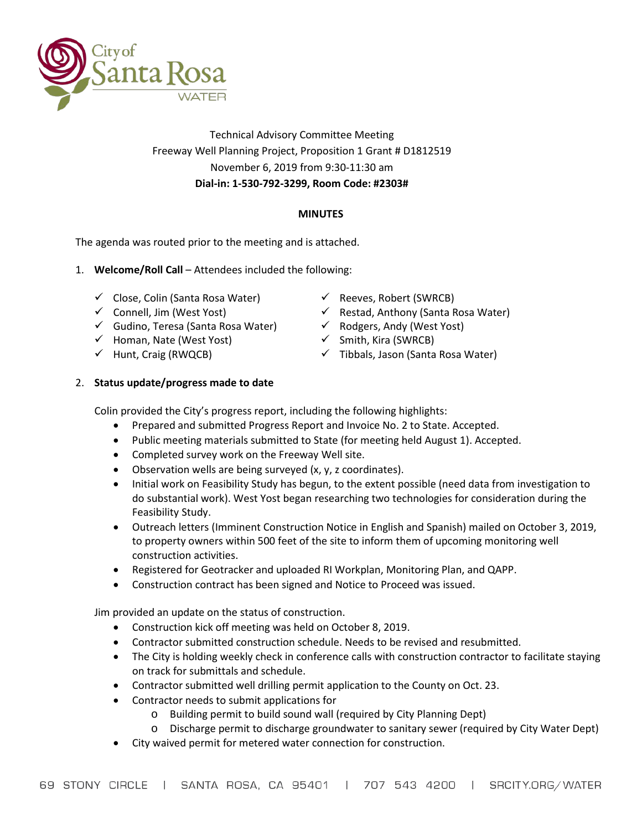

# Technical Advisory Committee Meeting Freeway Well Planning Project, Proposition 1 Grant # D1812519 November 6, 2019 from 9:30-11:30 am **Dial-in: 1-530-792-3299, Room Code: #2303#**

## **MINUTES**

The agenda was routed prior to the meeting and is attached.

- 1. **Welcome/Roll Call** Attendees included the following:
	- $\checkmark$  Close, Colin (Santa Rosa Water)
	- $\checkmark$  Connell, Jim (West Yost)
	- Gudino, Teresa (Santa Rosa Water)
	- $\checkmark$  Homan, Nate (West Yost)
	- $\checkmark$  Hunt, Craig (RWQCB)
- $\checkmark$  Reeves, Robert (SWRCB)
- $\checkmark$  Restad, Anthony (Santa Rosa Water)
- $\checkmark$  Rodgers, Andy (West Yost)
- $\checkmark$  Smith, Kira (SWRCB)
- $\checkmark$  Tibbals, Jason (Santa Rosa Water)

## 2. **Status update/progress made to date**

Colin provided the City's progress report, including the following highlights:

- Prepared and submitted Progress Report and Invoice No. 2 to State. Accepted.
- Public meeting materials submitted to State (for meeting held August 1). Accepted.
- Completed survey work on the Freeway Well site.
- Observation wells are being surveyed (x, y, z coordinates).
- Initial work on Feasibility Study has begun, to the extent possible (need data from investigation to do substantial work). West Yost began researching two technologies for consideration during the Feasibility Study.
- Outreach letters (Imminent Construction Notice in English and Spanish) mailed on October 3, 2019, to property owners within 500 feet of the site to inform them of upcoming monitoring well construction activities.
- Registered for Geotracker and uploaded RI Workplan, Monitoring Plan, and QAPP.
- Construction contract has been signed and Notice to Proceed was issued.

Jim provided an update on the status of construction.

- Construction kick off meeting was held on October 8, 2019.
- Contractor submitted construction schedule. Needs to be revised and resubmitted.
- The City is holding weekly check in conference calls with construction contractor to facilitate staying on track for submittals and schedule.
- Contractor submitted well drilling permit application to the County on Oct. 23.
- Contractor needs to submit applications for
	- o Building permit to build sound wall (required by City Planning Dept)
	- o Discharge permit to discharge groundwater to sanitary sewer (required by City Water Dept)
- City waived permit for metered water connection for construction.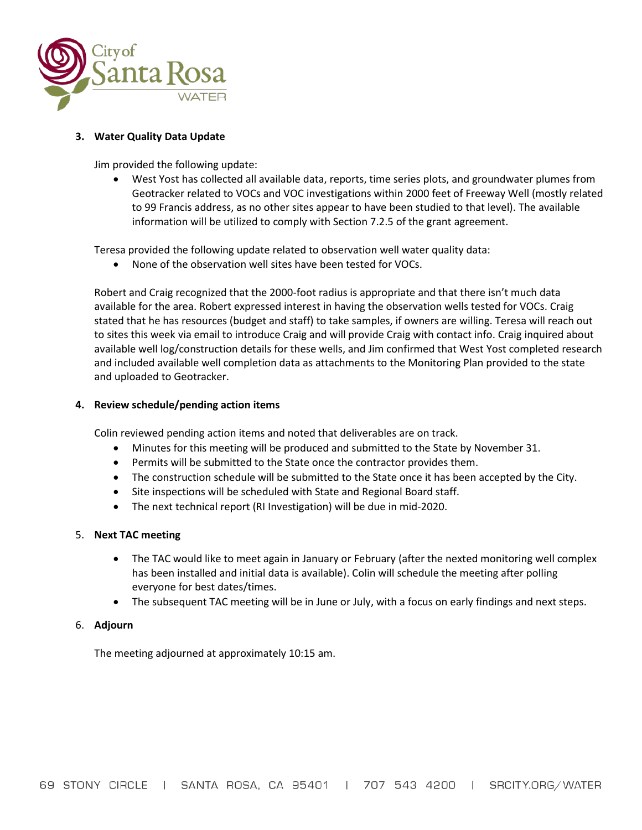

### **3. Water Quality Data Update**

Jim provided the following update:

• West Yost has collected all available data, reports, time series plots, and groundwater plumes from Geotracker related to VOCs and VOC investigations within 2000 feet of Freeway Well (mostly related to 99 Francis address, as no other sites appear to have been studied to that level). The available information will be utilized to comply with Section 7.2.5 of the grant agreement.

Teresa provided the following update related to observation well water quality data:

• None of the observation well sites have been tested for VOCs.

Robert and Craig recognized that the 2000-foot radius is appropriate and that there isn't much data available for the area. Robert expressed interest in having the observation wells tested for VOCs. Craig stated that he has resources (budget and staff) to take samples, if owners are willing. Teresa will reach out to sites this week via email to introduce Craig and will provide Craig with contact info. Craig inquired about available well log/construction details for these wells, and Jim confirmed that West Yost completed research and included available well completion data as attachments to the Monitoring Plan provided to the state and uploaded to Geotracker.

### **4. Review schedule/pending action items**

Colin reviewed pending action items and noted that deliverables are on track.

- Minutes for this meeting will be produced and submitted to the State by November 31.
- Permits will be submitted to the State once the contractor provides them.
- The construction schedule will be submitted to the State once it has been accepted by the City.
- Site inspections will be scheduled with State and Regional Board staff.
- The next technical report (RI Investigation) will be due in mid-2020.

### 5. **Next TAC meeting**

- The TAC would like to meet again in January or February (after the nexted monitoring well complex has been installed and initial data is available). Colin will schedule the meeting after polling everyone for best dates/times.
- The subsequent TAC meeting will be in June or July, with a focus on early findings and next steps.

### 6. **Adjourn**

The meeting adjourned at approximately 10:15 am.